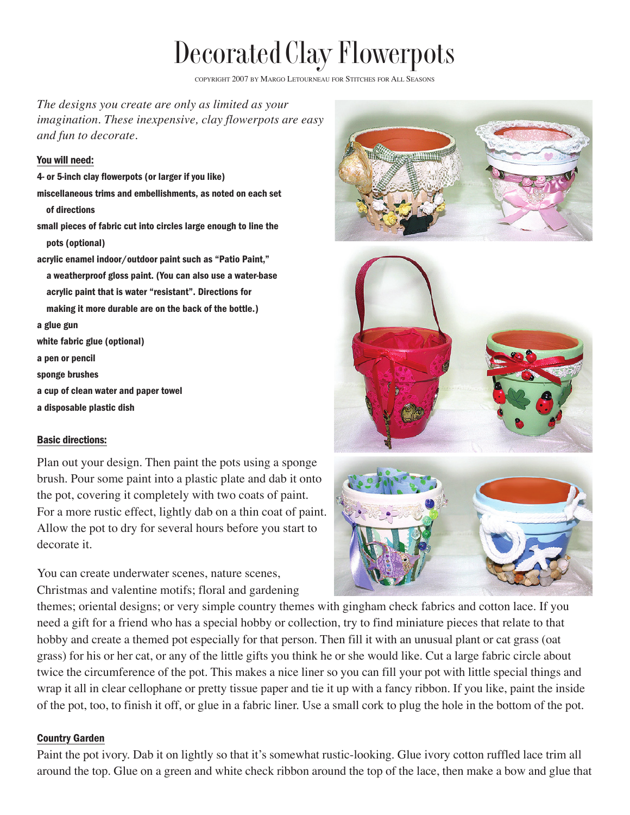# Decorated Clay Flowerpots

COPYRIGHT 2007 BY MARGO LETOURNEAU FOR STITCHES FOR ALL SEASONS

*The designs you create are only as limited as your imagination. These inexpensive, clay flowerpots are easy and fun to decorate.*

#### You will need:

4- or 5-inch clay flowerpots (or larger if you like) miscellaneous trims and embellishments, as noted on each set of directions small pieces of fabric cut into circles large enough to line the pots (optional) acrylic enamel indoor/outdoor paint such as "Patio Paint," a weatherproof gloss paint. (You can also use a water-base acrylic paint that is water "resistant". Directions for making it more durable are on the back of the bottle.) a glue gun white fabric glue (optional) a pen or pencil sponge brushes a cup of clean water and paper towel a disposable plastic dish

# Basic directions:

Plan out your design. Then paint the pots using a sponge brush. Pour some paint into a plastic plate and dab it onto the pot, covering it completely with two coats of paint. For a more rustic effect, lightly dab on a thin coat of paint. Allow the pot to dry for several hours before you start to decorate it.

You can create underwater scenes, nature scenes, Christmas and valentine motifs; floral and gardening





themes; oriental designs; or very simple country themes with gingham check fabrics and cotton lace. If you need a gift for a friend who has a special hobby or collection, try to find miniature pieces that relate to that hobby and create a themed pot especially for that person. Then fill it with an unusual plant or cat grass (oat grass) for his or her cat, or any of the little gifts you think he or she would like. Cut a large fabric circle about twice the circumference of the pot. This makes a nice liner so you can fill your pot with little special things and wrap it all in clear cellophane or pretty tissue paper and tie it up with a fancy ribbon. If you like, paint the inside of the pot, too, to finish it off, or glue in a fabric liner. Use a small cork to plug the hole in the bottom of the pot.

# Country Garden

Paint the pot ivory. Dab it on lightly so that it's somewhat rustic-looking. Glue ivory cotton ruffled lace trim all around the top. Glue on a green and white check ribbon around the top of the lace, then make a bow and glue that